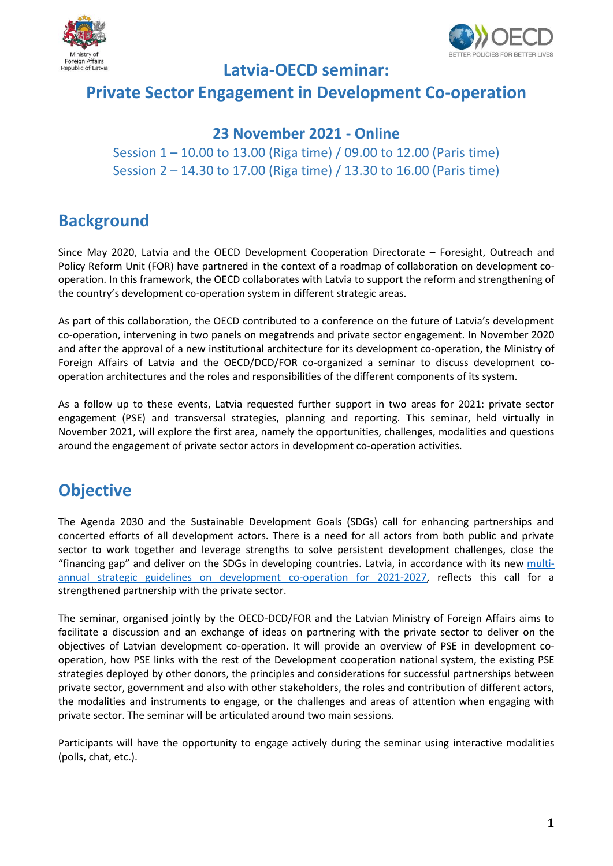



#### **Latvia-OECD seminar:**

### **Private Sector Engagement in Development Co-operation**

#### **23 November 2021 - Online**

Session 1 – 10.00 to 13.00 (Riga time) / 09.00 to 12.00 (Paris time) Session 2 – 14.30 to 17.00 (Riga time) / 13.30 to 16.00 (Paris time)

## **Background**

Since May 2020, Latvia and the OECD Development Cooperation Directorate – Foresight, Outreach and Policy Reform Unit (FOR) have partnered in the context of a roadmap of collaboration on development cooperation. In this framework, the OECD collaborates with Latvia to support the reform and strengthening of the country's development co-operation system in different strategic areas.

As part of this collaboration, the OECD contributed to a conference on the future of Latvia's development co-operation, intervening in two panels on megatrends and private sector engagement. In November 2020 and after the approval of a new institutional architecture for its development co-operation, the Ministry of Foreign Affairs of Latvia and the OECD/DCD/FOR co-organized a seminar to discuss development cooperation architectures and the roles and responsibilities of the different components of its system.

As a follow up to these events, Latvia requested further support in two areas for 2021: private sector engagement (PSE) and transversal strategies, planning and reporting. This seminar, held virtually in November 2021, will explore the first area, namely the opportunities, challenges, modalities and questions around the engagement of private sector actors in development co-operation activities.

## **Objective**

The Agenda 2030 and the Sustainable Development Goals (SDGs) call for enhancing partnerships and concerted efforts of all development actors. There is a need for all actors from both public and private sector to work together and leverage strengths to solve persistent development challenges, close the "financing gap" and deliver on the SDGs in developing countries. Latvia, in accordance with its new [multi](https://eur02.safelinks.protection.outlook.com/?url=https%3A%2F%2Flikumi.lv%2Fta%2Fid%2F322455-par-attistibas-sadarbibas-politikas-pamatnostadnem-2021-2027-gadam&data=04%7C01%7CSidney.LECLERCQ%40oecd.org%7C1410d1fcd0a24308574908d9030fa930%7Cac41c7d41f61460db0f4fc925a2b471c%7C0%7C0%7C637544188088730430%7CUnknown%7CTWFpbGZsb3d8eyJWIjoiMC4wLjAwMDAiLCJQIjoiV2luMzIiLCJBTiI6Ik1haWwiLCJXVCI6Mn0%3D%7C1000&sdata=tGQuB2YMY2Hi%2B8ta2OAzr1PvnuCCVaoJlut9pxhfP1w%3D&reserved=0)[annual strategic guidelines on development co-operation for 2021-2027,](https://eur02.safelinks.protection.outlook.com/?url=https%3A%2F%2Flikumi.lv%2Fta%2Fid%2F322455-par-attistibas-sadarbibas-politikas-pamatnostadnem-2021-2027-gadam&data=04%7C01%7CSidney.LECLERCQ%40oecd.org%7C1410d1fcd0a24308574908d9030fa930%7Cac41c7d41f61460db0f4fc925a2b471c%7C0%7C0%7C637544188088730430%7CUnknown%7CTWFpbGZsb3d8eyJWIjoiMC4wLjAwMDAiLCJQIjoiV2luMzIiLCJBTiI6Ik1haWwiLCJXVCI6Mn0%3D%7C1000&sdata=tGQuB2YMY2Hi%2B8ta2OAzr1PvnuCCVaoJlut9pxhfP1w%3D&reserved=0) reflects this call for a strengthened partnership with the private sector.

The seminar, organised jointly by the OECD-DCD/FOR and the Latvian Ministry of Foreign Affairs aims to facilitate a discussion and an exchange of ideas on partnering with the private sector to deliver on the objectives of Latvian development co-operation. It will provide an overview of PSE in development cooperation, how PSE links with the rest of the Development cooperation national system, the existing PSE strategies deployed by other donors, the principles and considerations for successful partnerships between private sector, government and also with other stakeholders, the roles and contribution of different actors, the modalities and instruments to engage, or the challenges and areas of attention when engaging with private sector. The seminar will be articulated around two main sessions.

Participants will have the opportunity to engage actively during the seminar using interactive modalities (polls, chat, etc.).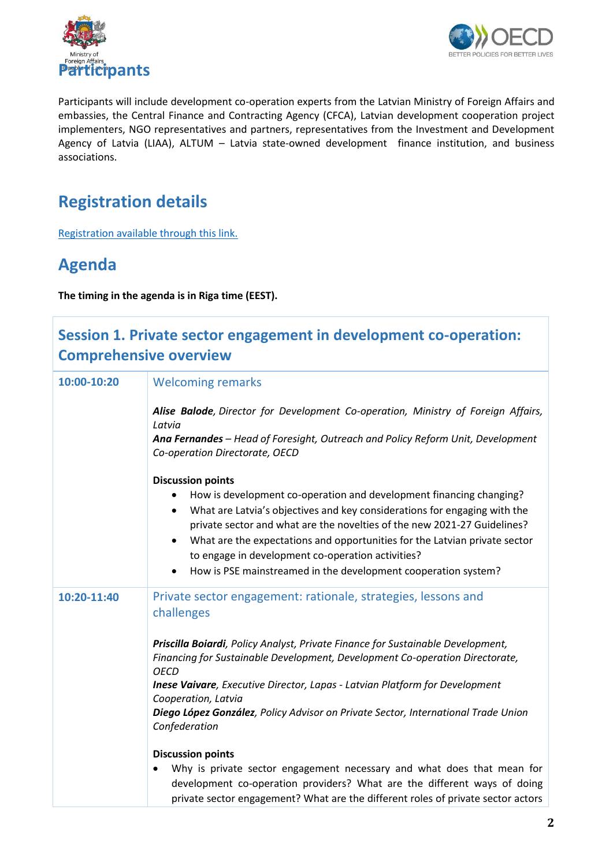



Participants will include development co-operation experts from the Latvian Ministry of Foreign Affairs and embassies, the Central Finance and Contracting Agency (CFCA), Latvian development cooperation project implementers, NGO representatives and partners, representatives from the Investment and Development Agency of Latvia (LIAA), ALTUM – Latvia state-owned development finance institution, and business associations.

# **Registration details**

[Registration available through this link.](https://meetoecd1.zoom.us/j/92459400283?pwd=YTJySUUwVmsyMEJ2dzJ6b1NjbWlPUT09)

## **Agenda**

**The timing in the agenda is in Riga time (EEST).**

| Session 1. Private sector engagement in development co-operation:<br><b>Comprehensive overview</b> |                                                                                                                                                                                                                                        |
|----------------------------------------------------------------------------------------------------|----------------------------------------------------------------------------------------------------------------------------------------------------------------------------------------------------------------------------------------|
| 10:00-10:20                                                                                        | <b>Welcoming remarks</b>                                                                                                                                                                                                               |
|                                                                                                    | Alise Balode, Director for Development Co-operation, Ministry of Foreign Affairs,<br>Latvia                                                                                                                                            |
|                                                                                                    | Ana Fernandes - Head of Foresight, Outreach and Policy Reform Unit, Development<br>Co-operation Directorate, OECD                                                                                                                      |
|                                                                                                    | <b>Discussion points</b>                                                                                                                                                                                                               |
|                                                                                                    | How is development co-operation and development financing changing?<br>What are Latvia's objectives and key considerations for engaging with the<br>٠<br>private sector and what are the novelties of the new 2021-27 Guidelines?      |
|                                                                                                    | What are the expectations and opportunities for the Latvian private sector<br>$\bullet$<br>to engage in development co-operation activities?                                                                                           |
|                                                                                                    | How is PSE mainstreamed in the development cooperation system?<br>$\bullet$                                                                                                                                                            |
| 10:20-11:40                                                                                        | Private sector engagement: rationale, strategies, lessons and<br>challenges                                                                                                                                                            |
|                                                                                                    | Priscilla Boiardi, Policy Analyst, Private Finance for Sustainable Development,<br>Financing for Sustainable Development, Development Co-operation Directorate,<br><b>OECD</b>                                                         |
|                                                                                                    | <b>Inese Vaivare</b> , Executive Director, Lapas - Latvian Platform for Development<br>Cooperation, Latvia                                                                                                                             |
|                                                                                                    | Diego López González, Policy Advisor on Private Sector, International Trade Union<br>Confederation                                                                                                                                     |
|                                                                                                    | <b>Discussion points</b>                                                                                                                                                                                                               |
|                                                                                                    | Why is private sector engagement necessary and what does that mean for<br>development co-operation providers? What are the different ways of doing<br>private sector engagement? What are the different roles of private sector actors |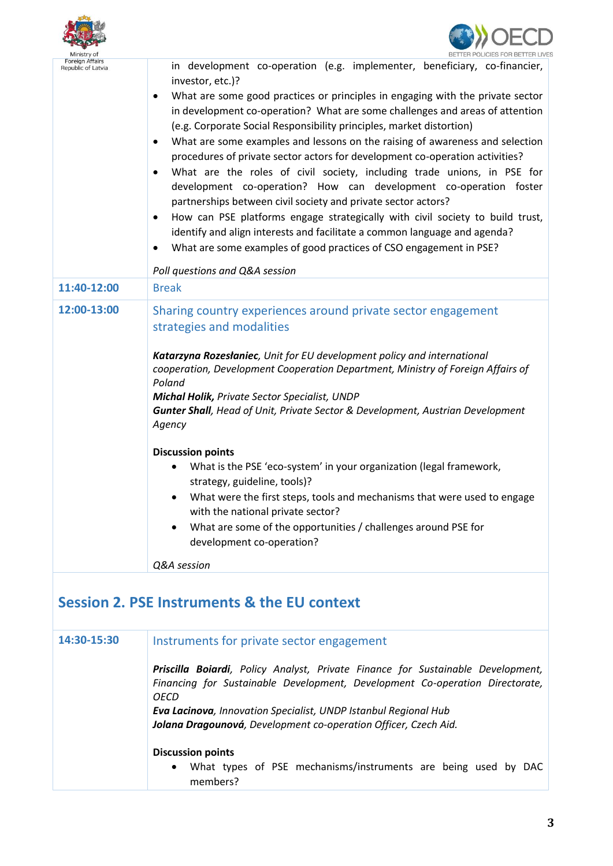| Foreign Affairs<br>Republic of Latvia | in development co-operation (e.g. implementer, beneficiary, co-financier,<br>investor, etc.)?<br>What are some good practices or principles in engaging with the private sector<br>$\bullet$<br>in development co-operation? What are some challenges and areas of attention<br>(e.g. Corporate Social Responsibility principles, market distortion)<br>What are some examples and lessons on the raising of awareness and selection<br>procedures of private sector actors for development co-operation activities?<br>What are the roles of civil society, including trade unions, in PSE for<br>development co-operation? How can development co-operation foster<br>partnerships between civil society and private sector actors?<br>How can PSE platforms engage strategically with civil society to build trust,<br>identify and align interests and facilitate a common language and agenda?<br>What are some examples of good practices of CSO engagement in PSE? |
|---------------------------------------|---------------------------------------------------------------------------------------------------------------------------------------------------------------------------------------------------------------------------------------------------------------------------------------------------------------------------------------------------------------------------------------------------------------------------------------------------------------------------------------------------------------------------------------------------------------------------------------------------------------------------------------------------------------------------------------------------------------------------------------------------------------------------------------------------------------------------------------------------------------------------------------------------------------------------------------------------------------------------|
| 11:40-12:00                           | Poll questions and Q&A session<br><b>Break</b>                                                                                                                                                                                                                                                                                                                                                                                                                                                                                                                                                                                                                                                                                                                                                                                                                                                                                                                            |
| 12:00-13:00                           | Sharing country experiences around private sector engagement<br>strategies and modalities<br>Katarzyna Rozesłaniec, Unit for EU development policy and international<br>cooperation, Development Cooperation Department, Ministry of Foreign Affairs of<br>Poland<br><b>Michal Holik, Private Sector Specialist, UNDP</b><br><b>Gunter Shall</b> , Head of Unit, Private Sector & Development, Austrian Development<br>Agency<br><b>Discussion points</b><br>What is the PSE 'eco-system' in your organization (legal framework,<br>strategy, guideline, tools)?<br>What were the first steps, tools and mechanisms that were used to engage<br>with the national private sector?<br>What are some of the opportunities / challenges around PSE for<br>development co-operation?<br>Q&A session                                                                                                                                                                           |
|                                       | <b>Session 2. PSE Instruments &amp; the EU context</b>                                                                                                                                                                                                                                                                                                                                                                                                                                                                                                                                                                                                                                                                                                                                                                                                                                                                                                                    |
| 14:30-15:30                           | Instruments for private sector engagement<br>Priscilla Boiardi, Policy Analyst, Private Finance for Sustainable Development,<br>Financing for Sustainable Development, Development Co-operation Directorate,<br><b>OECD</b><br>Eva Lacinova, Innovation Specialist, UNDP Istanbul Regional Hub<br>Jolana Dragounová, Development co-operation Officer, Czech Aid.<br><b>Discussion points</b><br>What types of PSE mechanisms/instruments are being used by DAC<br>members?                                                                                                                                                                                                                                                                                                                                                                                                                                                                                               |